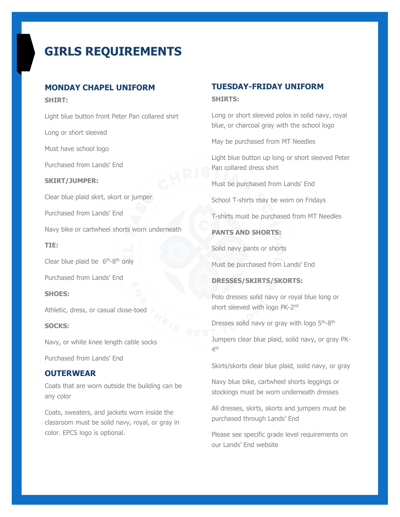# **GIRLS REQUIREMENTS**

# **MONDAY CHAPEL UNIFORM**

**SHIRT:** 

Light blue button front Peter Pan collared shirt Long or short sleeved Must have school logo Purchased from Lands' End **SKIRT/JUMPER:** Clear blue plaid skirt, skort or jumper Purchased from Lands' End Navy bike or cartwheel shorts worn underneath **TIE:** Clear blue plaid tie  $6<sup>th</sup>-8<sup>th</sup>$  only Purchased from Lands' End **SHOES:** Athletic, dress, or casual close-toed **SOCKS:** Navy, or white knee length cable socks

Purchased from Lands' End

# **OUTERWEAR**

Coats that are worn outside the building can be any color

Coats, sweaters, and jackets worn inside the classroom must be solid navy, royal, or gray in color. EPCS logo is optional.

# **TUESDAY-FRIDAY UNIFORM SHIRTS:**

Long or short sleeved polos in solid navy, royal blue, or charcoal gray with the school logo

May be purchased from MT Needles

Light blue button up long or short sleeved Peter Pan collared dress shirt

Must be purchased from Lands' End

School T-shirts may be worn on Fridays

T-shirts must be purchased from MT Needles

## **PANTS AND SHORTS:**

Solid navy pants or shorts

Must be purchased from Lands' End

## **DRESSES/SKIRTS/SKORTS:**

Polo dresses solid navy or royal blue long or short sleeved with logo PK-2<sup>nd</sup>

Dresses solid navy or gray with logo 5<sup>th</sup>-8<sup>th</sup>

Jumpers clear blue plaid, solid navy, or gray PK- $4^{\text{th}}$ 

Skirts/skorts clear blue plaid, solid navy, or gray

Navy blue bike, cartwheel shorts leggings or stockings must be worn underneath dresses

All dresses, skirts, skorts and jumpers must be purchased through Lands' End

Please see specific grade level requirements on our Lands' End website